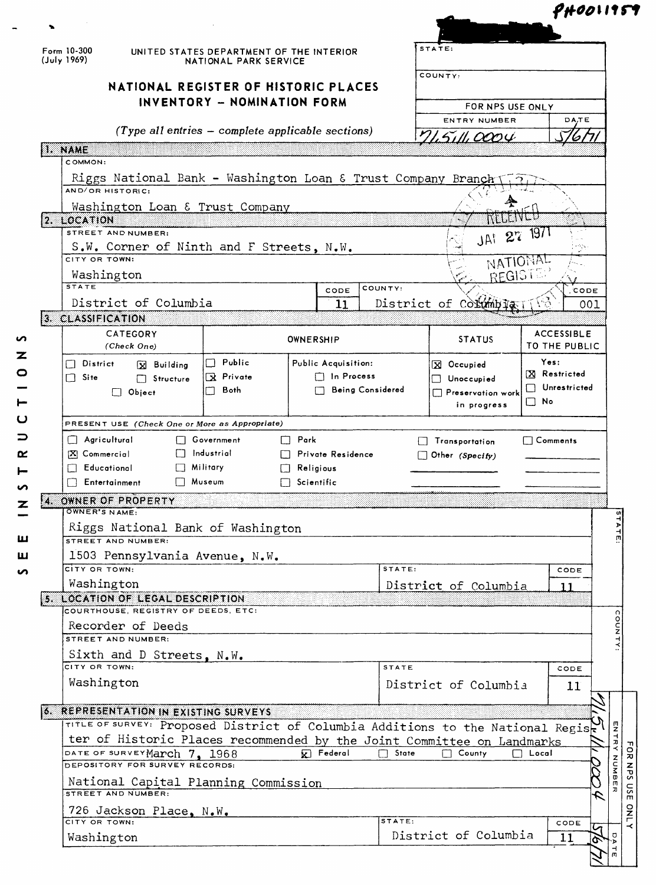| Form 10-300<br>(July 1969) |                                                                                 | UNITED STATES DEPARTMENT OF THE INTERIOR<br>NATIONAL PARK SERVICE |                                                     |              | STATE:                   |                   |                                    |                                               |
|----------------------------|---------------------------------------------------------------------------------|-------------------------------------------------------------------|-----------------------------------------------------|--------------|--------------------------|-------------------|------------------------------------|-----------------------------------------------|
|                            | NATIONAL REGISTER OF HISTORIC PLACES<br>INVENTORY - NOMINATION FORM             |                                                                   |                                                     |              | COUNTY:                  |                   |                                    |                                               |
|                            |                                                                                 |                                                                   |                                                     |              | FOR NPS USE ONLY         |                   |                                    |                                               |
|                            |                                                                                 |                                                                   | (Type all entries $-$ complete applicable sections) |              | ENTRY NUMBER             |                   | DA,TE                              |                                               |
| II. NAME                   |                                                                                 |                                                                   |                                                     |              | <i>5111,000 4</i>        |                   |                                    |                                               |
|                            | COMMON:                                                                         |                                                                   |                                                     |              |                          |                   |                                    |                                               |
|                            | Riggs National Bank - Washington Loan & Trust Company Branch                    |                                                                   |                                                     |              |                          |                   |                                    |                                               |
|                            | AND/OR HISTORIC:                                                                |                                                                   |                                                     |              |                          |                   |                                    |                                               |
| 2. LOCATION                | Washington Loan & Trust Company                                                 |                                                                   |                                                     |              |                          |                   |                                    |                                               |
|                            | STREET AND NUMBER:                                                              |                                                                   |                                                     |              | JAI 27 1971              |                   |                                    |                                               |
|                            | S.W. Corner of Ninth and F Streets, N.W.                                        |                                                                   |                                                     |              |                          |                   |                                    |                                               |
|                            | CITY OR TOWN:                                                                   |                                                                   |                                                     |              | NATIONAL<br>REGISTE      |                   |                                    |                                               |
| <b>STATE</b>               | Washington                                                                      |                                                                   | CODE                                                | COUNTY:      |                          |                   | CODE                               |                                               |
|                            | District of Columbia                                                            |                                                                   | 11                                                  |              | District of Columbia     |                   | 001                                |                                               |
|                            | 3. CLASSIFICATION                                                               |                                                                   |                                                     |              |                          |                   |                                    |                                               |
|                            | CATEGORY<br>(Check One)                                                         |                                                                   | OWNERSHIP                                           |              | <b>STATUS</b>            |                   | <b>ACCESSIBLE</b><br>TO THE PUBLIC |                                               |
| $\mathbf{1}$               | District<br><b>X</b> Building                                                   | Public<br>П.                                                      | Public Acquisition:                                 |              | X Occupied               |                   | Yes:                               |                                               |
| $\Box$ Site                | Structure                                                                       | R Private                                                         | $\Box$ In Process                                   |              | Unoccupied<br>$\Box$     |                   | X Restricted                       |                                               |
|                            | $\Box$ Object                                                                   | Both                                                              | Being Considered                                    |              | $\Box$ Preservation work | $\vert \ \ \vert$ | <b>Unrestricted</b>                |                                               |
|                            |                                                                                 |                                                                   |                                                     |              |                          |                   |                                    |                                               |
|                            |                                                                                 |                                                                   |                                                     |              | in progress              | $\square$ No      |                                    |                                               |
|                            | PRESENT USE (Check One or More as Appropriate)                                  |                                                                   |                                                     |              |                          |                   |                                    |                                               |
|                            | │ Agricultural                                                                  | Government                                                        | $\Box$ Park                                         |              | Transportation           |                   | $\Box$ Comments                    |                                               |
|                            | [X] Commercial<br>Educational                                                   | Industrial<br>Military                                            | Private Residence<br>Religious                      |              | $\Box$ Other (Specify)   |                   |                                    |                                               |
|                            | Entertainment                                                                   | Museum                                                            | Scientific                                          |              |                          |                   |                                    |                                               |
|                            | OWNER OF PROPERTY<br>OWNER'S NAME:                                              |                                                                   |                                                     |              |                          |                   |                                    |                                               |
|                            | Riggs National Bank of Washington<br>STREET AND NUMBER:                         |                                                                   |                                                     |              |                          |                   |                                    |                                               |
|                            | 1503 Pennsylvania Avenue, N.W.                                                  |                                                                   |                                                     |              |                          |                   |                                    |                                               |
|                            | CITY OR TOWN:                                                                   |                                                                   |                                                     | STATE:       |                          |                   | CODE                               |                                               |
|                            | Washington                                                                      |                                                                   |                                                     |              | District of Columbia     |                   | 11                                 |                                               |
|                            | 5. LOCATION OF LEGAL DESCRIPTION<br>COURTHOUSE, REGISTRY OF DEEDS, ETC:         |                                                                   |                                                     |              |                          |                   |                                    |                                               |
|                            | Recorder of Deeds                                                               |                                                                   |                                                     |              |                          |                   |                                    |                                               |
|                            | STREET AND NUMBER:                                                              |                                                                   |                                                     |              |                          |                   |                                    |                                               |
|                            | Sixth and D Streets, N.W.                                                       |                                                                   |                                                     |              |                          |                   |                                    |                                               |
|                            | CITY OR TOWN:                                                                   |                                                                   |                                                     | <b>STATE</b> |                          |                   | CODE                               |                                               |
|                            | Washington                                                                      |                                                                   |                                                     |              | District of Columbia     |                   | 11                                 |                                               |
|                            | <b>6. REPRESENTATION IN EXISTING SURVEYS</b>                                    |                                                                   |                                                     |              |                          |                   |                                    |                                               |
|                            | TITLE OF SURVEY: Proposed District of Columbia Additions to the National Regisk |                                                                   |                                                     |              |                          |                   |                                    |                                               |
|                            | ter of Historic Places recommended by the Joint Committee on Landmarks          |                                                                   |                                                     | State<br>П   | $\Box$ County            | Local             |                                    |                                               |
|                            | DATE OF SURVEYMarch 7, 1968<br>DEPOSITORY FOR SURVEY RECORDS:                   |                                                                   | $\mathbf{K}$ Federal                                |              |                          |                   |                                    |                                               |
|                            | National Capital Planning Commission<br>STREET AND NUMBER:                      |                                                                   |                                                     |              |                          |                   |                                    |                                               |
|                            | 726 Jackson Place, N.W.                                                         |                                                                   |                                                     |              |                          |                   |                                    |                                               |
|                            | CITY OR TOWN:<br>Washington                                                     |                                                                   |                                                     | STATE:       | District of Columbia     |                   | CODE<br>দ<br>11<br>P.              | $\frac{m}{2}$<br>$\frac{1}{k}$<br>NUNBE<br>¦Ş |

 $\blacksquare$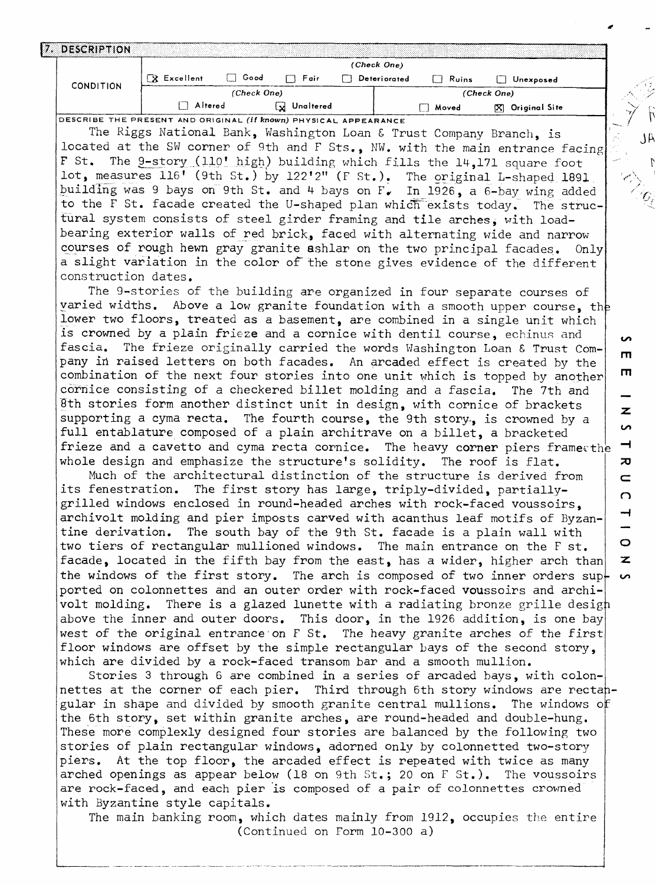| DESCRIPTION      |             |             |           | (Check One)  |       |                   |
|------------------|-------------|-------------|-----------|--------------|-------|-------------------|
| <b>CONDITION</b> | X Excellent | Good        | Fair<br>П | Deteriorated | Ruins | Unexposed         |
|                  |             | (Check One) |           |              |       | (Check One)       |
|                  | Altered     |             | Unaltered |              | Moved | [X] Original Site |

DESCRIBE THE PRESENT AND ORIGINAL *(if known)* PHYSICAL **APPEARANCE**

The Riggs National Bank, Washington Loan £ Trust Company Branch, is located at the SW corner of 9th and F Sts., NW. with the main entrance facing F St. The 9-story (110' high) building which fills the  $14,171$  square foot lot, measures 116' (9th St.) by 122'2" (F St.). The original L-shaped 1891 building was 9 bays on 9th St. and 4 bays on  $F_{\nu}$  In 1926, a 6-bay wing added to the F St. facade created the U-shaped plan which exists today. The structural system consists of steel girder framing and tile arches, with loadbearing exterior walls of red brick, faced with alternating wide and narrow courses of rough hewn gray granite ashlar on the two principal facades. Only a slight variation in the color of" the stone gives evidence of the different construction dates.

The 9-stories of the building are organized in four separate courses of varied widths. Above a low granite foundation with a smooth upper course, th lower two floors, treated as a basement, are combined in a single unit which is crowned by a plain frieze and a cornice with dentil course, echinus and fascia. The frieze originally carried the words Washington Loan £ Trust Com pany in raised letters on both facades. An arcaded effect is created by the combination of the next four stories into one unit which is topped by another cornice consisting of a checkered billet molding and a fascia. The 7th and Bth stories form another distinct unit in design, with cornice of brackets supporting a cyma recta. The fourth course, the 9th story-, is crowned by a full entablature composed of a plain architrave on a billet, a bracketed frieze and a cavetto and cyma recta cornice. The heavy corner piers framethe  $\blacksquare$ whole design and emphasize the structure's solidity. The roof is flat.

Much of the architectural distinction of the structure is derived from its fenestration. The first story has large, triply-divided, partiallygrilled windows enclosed in round-headed arches with rock-faced voussoirs, archivolt molding and pier imposts carved with acanthus leaf motifs of Byzan tine derivation. The south bay of the 9th St. facade is a plain wall with two tiers of rectangular mullioned windows. The main entrance on the F st. facade, located in the fifth bay from the east, has a wider, higher arch than the windows of the first story. The arch is composed of two inner orders  $\sup$ ported on colonnettes and an outer order with rock-faced voussoirs and archi volt molding. There is a glazed lunette with a radiating bronze grille desigh above the inner and outer doors. This door, in the 1926 addition, is one bay west of the original entrance on F St. The heavy granite arches of the first floor windows are offset by the simple rectangular bays of the second story, which are divided by a rock-faced transom bar and a smooth mullion.

Stories 3 through 6 are combined in a series of arcaded bays, with colon nettes at the corner of each pier. Third through 6th story windows are rectahgular in shape and divided by smooth granite central mullions. The windows o the 6th story, set within granite arches, are round-headed and double-hung. These more complexly designed four stories are balanced by the following two stories of plain rectangular windows, adorned only by colonnetted two-story piers. At the top floor, the arcaded effect is repeated with twice as many arched openings as appear below (18 on 9th St.; 20 on F St.). The voussoirs are rock-faced, and each pier is composed of a pair of colonnettes crowned with Byzantine style capitals.

The main banking room, which dates mainly from 1912, occupies the entire (Continued on Form 10-300 a)

 $\overline{a}$ 

 $\lambda$  l

 $\Gamma$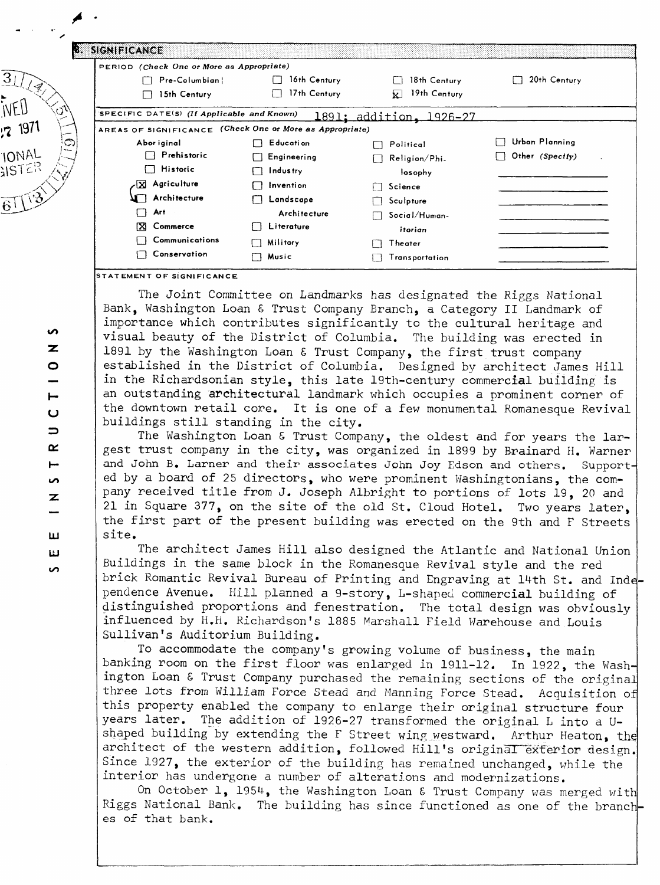|                        | PERIOD (Check One or More as Appropriate)                |                         |                 |
|------------------------|----------------------------------------------------------|-------------------------|-----------------|
|                        | Pre-Columbian!<br>16th Century                           | 18th Century            | 20th Century    |
| 15th Century           | 17th Century<br>$\mathbf{1}$                             | 19th Century<br>⊻       |                 |
|                        | SPECIFIC DATE(S) (If Applicable and Known)               | 1891: addition. 1926–27 |                 |
|                        | AREAS OF SIGNIFICANCE (Check One or More as Appropriate) |                         |                 |
| Abor iginal            | E ducati on                                              | Political               | Urban Planning  |
| Prehistoric<br>П       | Engineering                                              | Religion/Phi-           | Other (Specify) |
| <b>Historic</b><br>- 1 | Industry                                                 | losophy                 |                 |
| -X Agriculture         | Invention                                                | Science                 |                 |
| Architecture           | Landscape                                                | Sculpture               |                 |
| Art<br>П               | Architecture                                             | Social/Human-           |                 |
| ΙX<br>Commerce         | Literature                                               | itarian                 |                 |
| Communications         | Military                                                 | Theater                 |                 |
| □ Conservation         | Music<br>┑                                               | Transportation          |                 |

**STATEMENT OF SIGNIFICANCE** 

The Joint Committee on Landmarks has designated the Riggs National Bank, Washington Loan £ Trust Company Branch, a Category II Landmark of importance which contributes significantly to the cultural heritage and visual beauty of the District of Columbia. The building was erected in 1891 by the Washington Loan & Trust Company, the first trust company established in the District of Columbia. Designed by architect James Hill in the Richardsonian style, this late 19th-century commercial building is an outstanding architectural landmark which occupies a prominent corner of the downtown retail core. It is one of a few monumental Romanesque Revival buildings still standing in the city.

The Washington Loan & Trust Company, the oldest and for years the largest trust company in the city, was organized in 1899 by Brainard H. Warner and John B. Larner and their associates John Joy Edson and others. Supported by a board of 25 directors, who were prominent Washingtonians, the com pany received title from J. Joseph Albright to portions of lots 19, 20 and 21 in Square 377, on the site of the old St. Cloud Hotel. Two years later, the first part of the present building was erected on the 9th and F Streets site.

The architect James Hill also designed the Atlantic and National Union Buildings in the same block in the Romanesque Revival style and the red brick Romantic Revival Bureau of Printing and Engraving at 14th St. and Inde pendence Avenue. Hill planned a 9-story, L-shaped commercial building of distinguished proportions and fenestration. The total design was obviously influenced by H.H. Richardson's 1885 Marshall Field Warehouse and Louis Sullivan's Auditorium Building.

To accommodate the company's growing volume of business, the main banking room on the first floor was enlarged in 1911-12. In 1922, the Washington Loan £ Trust Company purchased the remaining sections of the original three lots from William Force Stead and Manning Force Stead. Acquisition of this property enabled the company to enlarge their original structure four<br>years later. The addition of 1926-27 transformed the original L into a U-The addition of 1926-27 transformed the original L into a Ushaped building by extending the F Street wing westward. Arthur Heaton, the architect of the western addition, followed Hill's original exterior design. Since 1927, the exterior of the building has remained unchanged, while the interior has undergone a number of alterations and modernizations.

On October 1, 1954, the Washington Loan £ Trust Company was merged with Riggs National Bank. The building has since functioned as one of the branch es of that bank.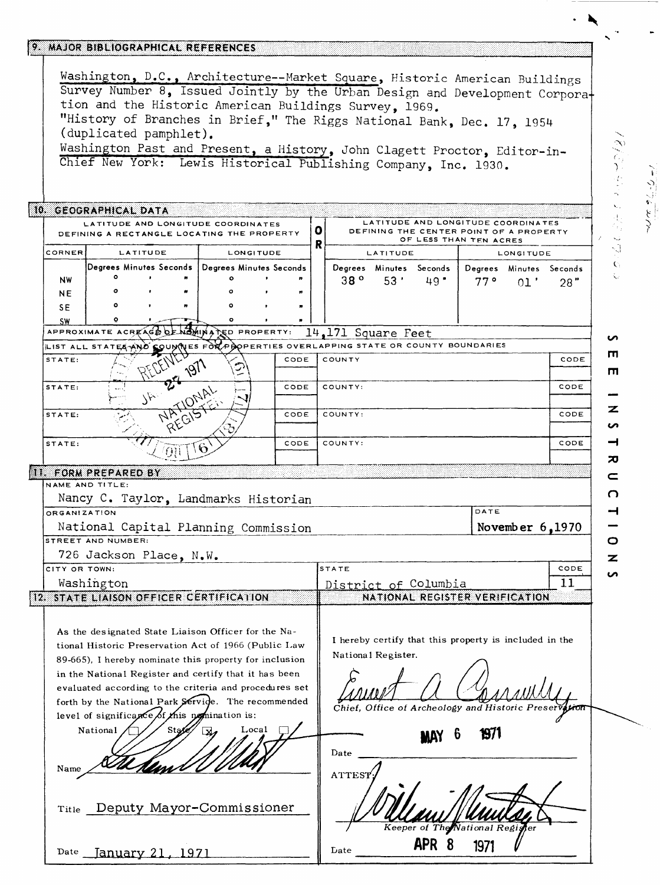### 9. MAJOR BIBLIOGRAPHICAL REFERENCES

**Washington, D.C., Architecture — Market Square, Historic A merican Buildings**  Survey Number 8, Issued Jointly by the Urban Design and Development Corpora**tion and the Historic American Buildings Survey, 1969. "History of Branches in Brief," The Riggs National Bank, Dec. 17, 1954 (duplicated pamphlet).**  Washington Past and Present, a History, John Clagett Proctor, Editor-in-

**Chief New York: Lewis Historical Publishing Company, Inc . 1930.**

## 10. GEOGRAPHICAL DATA

|           |         |                 |              |                                                   | LATITUDE AND LONGITUDE COORDINATES<br>DEFINING A RECTANGLE LOCATING THE PROPERTY |           |  |         |          | LATITUDE AND LONGITUDE COORDINATES<br>DEFINING THE CENTER POINT OF A PROPERTY<br>OF LESS THAN TEN ACRES |         |           |         |
|-----------|---------|-----------------|--------------|---------------------------------------------------|----------------------------------------------------------------------------------|-----------|--|---------|----------|---------------------------------------------------------------------------------------------------------|---------|-----------|---------|
| CORNER    |         | <b>LATITUDE</b> |              |                                                   | <b>LONGITUDE</b>                                                                 |           |  |         | LATITUDE |                                                                                                         |         | LONGITUDE |         |
|           |         |                 |              | Degrees Minutes Seconds   Degrees Minutes Seconds |                                                                                  |           |  | Degrees | Minutes  | Seconds                                                                                                 | Degrees | Minutes   | Seconds |
| <b>NW</b> | ۰       |                 | $\mathbf{r}$ | Ω                                                 |                                                                                  | $\bullet$ |  | 38°     | 53'      | 49.                                                                                                     | 770     | 01        | 28"     |
| NE        | $\circ$ |                 | $\bullet$    | $\circ$                                           |                                                                                  |           |  |         |          |                                                                                                         |         |           |         |
| SE.       | ۰       |                 |              | ۰                                                 |                                                                                  |           |  |         |          |                                                                                                         |         |           |         |
| SW        | ۰       |                 | 22 I         | ۰                                                 |                                                                                  |           |  |         |          |                                                                                                         |         |           |         |

# **APPROXIMATE ACRHA^G%\^kJj^^A^t^ PROPERTY: 14,171 SqU3r6 Feet**

| STATE: | ာ<br>$\lambda$ | COUNTY<br>CODE  | CODE |
|--------|----------------|-----------------|------|
| STATE: | .<br>いい        | CODE<br>COUNTY: | CODE |
| STATE: |                | COUNTY:<br>CODE | CODE |
| STATE: | n<br>ΩT        | CODE<br>COUNTY: | CODE |

#### **NAME AND TITLE:**

|                                                                                                                                                                                                                                                                                                                                |  | Nancy C. Taylor, Landmarks Historian |
|--------------------------------------------------------------------------------------------------------------------------------------------------------------------------------------------------------------------------------------------------------------------------------------------------------------------------------|--|--------------------------------------|
| ORGANIZATION                                                                                                                                                                                                                                                                                                                   |  |                                      |
| $\mathbf{1}$ $\mathbf{N}$ and $\mathbf{1}$ $\mathbf{O}$ and $\mathbf{N}$ $\mathbf{N}$ $\mathbf{N}$ $\mathbf{N}$ $\mathbf{N}$ $\mathbf{N}$ $\mathbf{N}$ $\mathbf{N}$ $\mathbf{N}$ $\mathbf{N}$ $\mathbf{N}$ $\mathbf{N}$ $\mathbf{N}$ $\mathbf{N}$ $\mathbf{N}$ $\mathbf{N}$ $\mathbf{N}$ $\mathbf{N}$ $\mathbf{N}$ $\mathbf{N$ |  |                                      |

#### **National Capital Planning Commission STREET AND NUMBER:**

**726 Jackson Place, N.W.**

| ICITY OR TOWN:                                 | <b>ISTATE</b>                  | CODE |
|------------------------------------------------|--------------------------------|------|
| Washington                                     | District of Columbia           |      |
| <b>12. STATE LIAISON OFFICER CERTIFICATION</b> | NATIONAL REGISTER VERIFICATION |      |
|                                                |                                |      |

**National Register.**

**Late** 

**As the designated State Liaison Officer for the Na tional Historic Preservation Act of 1966 (Public Law 89-665), I hereby nominate this property for inclusion in the National Register and certify that it has been evaluated according to the criteria and procedures set**  forth by the National Park Servide. The recommended level of significance of this nomination is:

# National  $\left(\frac{1}{\sqrt{8}}\right)$  State  $\left(\frac{1}{\sqrt{8}}\right)$  Local Name

**Title Deputy Mayor-Commissioner**

**sate January 21, 1971**

**CONSTRACT CONSTRACT AND CONSTRACT PROPERTY OF A FINITE CONSTRACT CONSTRACT CONSTRACT CONSTRACT PROPERTY AND A FINITE CONSTRACT CONSTRACT CONSTRACT CONSTRACT CONSTRACT CONSTRACT CONSTRACT CONSTRACT CONSTRACT CONSTRACT CONS** 

**I hereby certify that this property is included in the** 

**DATE**

**November** *6* **,1970**

*ff*

|        | Mb                              |  |
|--------|---------------------------------|--|
| Date   |                                 |  |
| ATTEST |                                 |  |
|        |                                 |  |
|        |                                 |  |
|        | Keeper of The National Register |  |

**APR 8 1971** *V*

Ŵ  $\mathbf{C}$  $\overline{a}$ **rn m**

そくこうこく

 $\frac{1}{2}$ 

ァ S  $\overline{\phantom{0}}$  $\mathbf{z}$  $\subset$  $\Omega$  $\rightarrow$ O

> $\mathbf{z}$ **in**